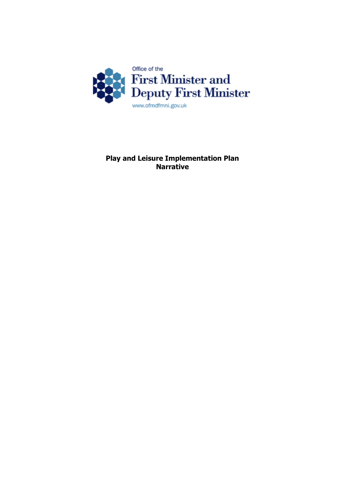

**Play and Leisure Implementation Plan Narrative**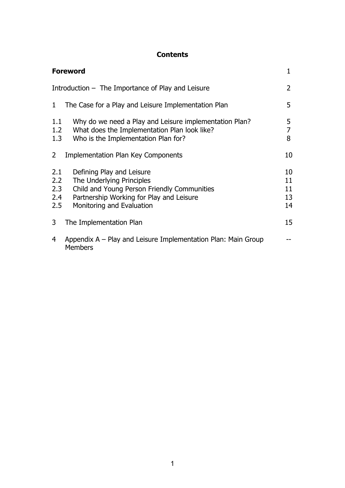# **Contents**

|                                                   | <b>Foreword</b>                                                                                                                                                                | 1                          |
|---------------------------------------------------|--------------------------------------------------------------------------------------------------------------------------------------------------------------------------------|----------------------------|
| Introduction - The Importance of Play and Leisure |                                                                                                                                                                                | 2                          |
| 1                                                 | The Case for a Play and Leisure Implementation Plan                                                                                                                            | 5                          |
| 1.1<br>1.2<br>1.3                                 | Why do we need a Play and Leisure implementation Plan?<br>What does the Implementation Plan look like?<br>Who is the Implementation Plan for?                                  | 5<br>7<br>8                |
| $\overline{2}$                                    | <b>Implementation Plan Key Components</b>                                                                                                                                      | 10                         |
| 2.1<br>2.2<br>2.3<br>2.4<br>2.5                   | Defining Play and Leisure<br>The Underlying Principles<br>Child and Young Person Friendly Communities<br>Partnership Working for Play and Leisure<br>Monitoring and Evaluation | 10<br>11<br>11<br>13<br>14 |
| 3                                                 | The Implementation Plan                                                                                                                                                        | 15                         |
| 4                                                 | Appendix A – Play and Leisure Implementation Plan: Main Group<br><b>Members</b>                                                                                                |                            |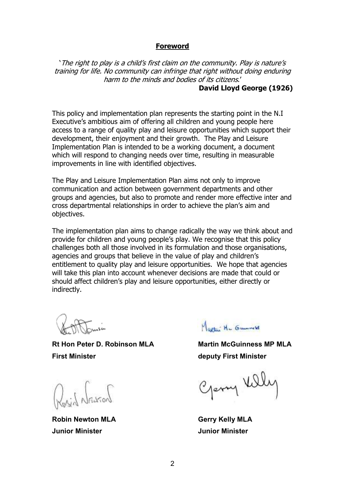#### **Foreword**

<span id="page-2-0"></span> 'The right to play is <sup>a</sup> child's first claim on the community. Play is nature's training for life. No community can infringe that right without doing enduring harm to the minds and bodies of its citizens.'

#### **David Lloyd George (1926)**

 This policy and implementation plan represents the starting point in the N.I Executive's ambitious aim of offering all children and young people here access to a range of quality play and leisure opportunities which support their development, their enjoyment and their growth. The Play and Leisure Implementation Plan is intended to be a working document, a document which will respond to changing needs over time, resulting in measurable improvements in line with identified objectives.

 The Play and Leisure Implementation Plan aims not only to improve communication and action between government departments and other groups and agencies, but also to promote and render more effective inter and cross departmental relationships in order to achieve the plan's aim and objectives.

 The implementation plan aims to change radically the way we think about and provide for children and young people's play. We recognise that this policy challenges both all those involved in its formulation and those organisations, agencies and groups that believe in the value of play and children's entitlement to quality play and leisure opportunities. We hope that agencies will take this plan into account whenever decisions are made that could or should affect children's play and leisure opportunities, either directly or indirectly.

 **Rt Hon Peter D. Robinson MLA Martin McGuinness MP MLA First Minister deputy First Minister**

Raid Nasson

 **Junior Minister Junior Minister Robin Newton MLA** 

A MARCHAN THE COMMUNICATION

Openy Ville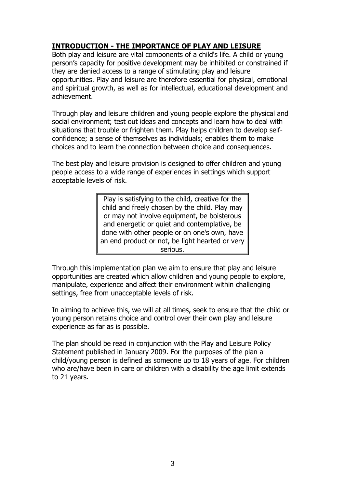# **INTRODUCTION THE IMPORTANCE OF PLAY AND LEISURE**

 Both play and leisure are vital components of a child's life. A child or young person's capacity for positive development may be inhibited or constrained if they are denied access to a range of stimulating play and leisure opportunities. Play and leisure are therefore essential for physical, emotional and spiritual growth, as well as for intellectual, educational development and achievement.

 Through play and leisure children and young people explore the physical and social environment; test out ideas and concepts and learn how to deal with situations that trouble or frighten them. Play helps children to develop self- confidence; a sense of themselves as individuals; enables them to make choices and to learn the connection between choice and consequences.

 The best play and leisure provision is designed to offer children and young people access to a wide range of experiences in settings which support acceptable levels of risk.

> Play is satisfying to the child, creative for the child and freely chosen by the child. Play may or may not involve equipment, be boisterous and energetic or quiet and contemplative, be done with other people or on one's own, have an end product or not, be light hearted or very serious.

 Through this implementation plan we aim to ensure that play and leisure opportunities are created which allow children and young people to explore, manipulate, experience and affect their environment within challenging settings, free from unacceptable levels of risk.

 In aiming to achieve this, we will at all times, seek to ensure that the child or young person retains choice and control over their own play and leisure experience as far as is possible.

 The plan should be read in conjunction with the Play and Leisure Policy Statement published in January 2009. For the purposes of the plan a child/young person is defined as someone up to 18 years of age. For children who are/have been in care or children with a disability the age limit extends to 21 years.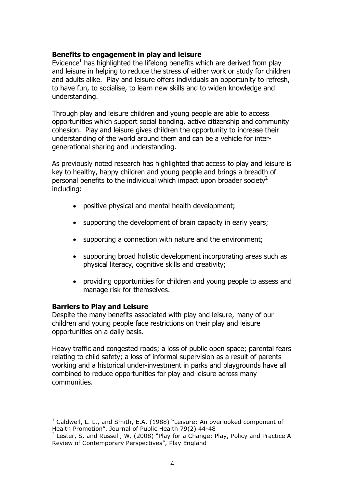#### **Benefits to engagement in play and leisure**

Evidence $<sup>1</sup>$  has highlighted the lifelong benefits which are derived from play</sup> and leisure in helping to reduce the stress of either work or study for children and adults alike. Play and leisure offers individuals an opportunity to refresh, to have fun, to socialise, to learn new skills and to widen knowledge and understanding.

 Through play and leisure children and young people are able to access opportunities which support social bonding, active citizenship and community cohesion. Play and leisure gives children the opportunity to increase their understanding of the world around them and can be a vehicle for inter-generational sharing and understanding.

 As previously noted research has highlighted that access to play and leisure is key to healthy, happy children and young people and brings a breadth of personal benefits to the individual which impact upon broader society<sup>2</sup> including:

- • positive physical and mental health development;
- supporting the development of brain capacity in early years;
- supporting a connection with nature and the environment;
- supporting broad holistic development incorporating areas such as physical literacy, cognitive skills and creativity;
- • providing opportunities for children and young people to assess and manage risk for themselves.

#### **Barriers to Play and Leisure**

<u> 1980 - Johann Barn, mars an t-Amerikaansk ferske</u>

 Despite the many benefits associated with play and leisure, many of our children and young people face restrictions on their play and leisure opportunities on a daily basis.

 Heavy traffic and congested roads; a loss of public open space; parental fears relating to child safety; a loss of informal supervision as a result of parents working and a historical under-investment in parks and playgrounds have all combined to reduce opportunities for play and leisure across many communities.

 $1$  Caldwell, L. L., and Smith, E.A. (1988) "Leisure: An overlooked component of Health Promotion", Journal of Public Health 79(2) 44-48

 $2$  Lester, S. and Russell, W. (2008) "Play for a Change: Play, Policy and Practice A Review of Contemporary Perspectives", Play England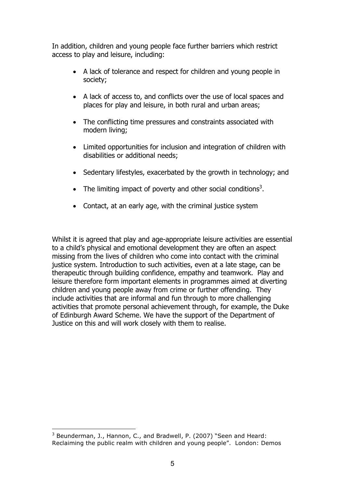<span id="page-5-0"></span> In addition, children and young people face further barriers which restrict access to play and leisure, including:

- A lack of tolerance and respect for children and young people in society;
- A lack of access to, and conflicts over the use of local spaces and places for play and leisure, in both rural and urban areas;
- The conflicting time pressures and constraints associated with modern living;
- Limited opportunities for inclusion and integration of children with disabilities or additional needs;
- Sedentary lifestyles, exacerbated by the growth in technology; and
- The limiting impact of poverty and other social conditions<sup>3</sup>.
- Contact, at an early age, with the criminal justice system

Whilst it is agreed that play and age-appropriate leisure activities are essential to a child's physical and emotional development they are often an aspect missing from the lives of children who come into contact with the criminal justice system. Introduction to such activities, even at a late stage, can be therapeutic through building confidence, empathy and teamwork. Play and leisure therefore form important elements in programmes aimed at diverting children and young people away from crime or further offending. They include activities that are informal and fun through to more challenging activities that promote personal achievement through, for example, the Duke of Edinburgh Award Scheme. We have the support of the Department of Justice on this and will work closely with them to realise.

 $3$  Beunderman, J., Hannon, C., and Bradwell, P. (2007) "Seen and Heard: Reclaiming the public realm with children and young people". London: Demos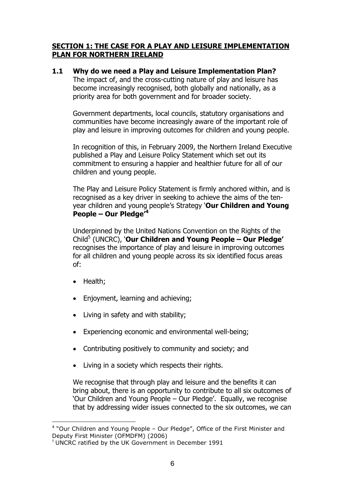## **SECTION 1: THE CASE FOR A PLAY AND LEISURE IMPLEMENTATION PLAN FOR NORTHERN IRELAND**

 **1.1 Why do we need a Play and Leisure Implementation Plan?** The impact of, and the cross-cutting nature of play and leisure has become increasingly recognised, both globally and nationally, as a priority area for both government and for broader society.

 Government departments, local councils, statutory organisations and communities have become increasingly aware of the important role of play and leisure in improving outcomes for children and young people.

 In recognition of this, in February 2009, the Northern Ireland Executive published a Play and Leisure Policy Statement which set out its commitment to ensuring a happier and healthier future for all of our children and young people.

 The Play and Leisure Policy Statement is firmly anchored within, and is recognised as a key driver in seeking to achieve the aims of the ten-  year children and young people's Strategy '**Our Children and Young People – Our Pledge'<sup>4</sup>**

 Underpinned by the United Nations Convention on the Rights of the  Child5 (UNCRC), '**Our Children and Young People – Our Pledge'** recognises the importance of play and leisure in improving outcomes for all children and young people across its six identified focus areas of:

• Health;

<u> 1980 - Johann Barn, mars an t-Amerikaansk ferske</u>

- Enjoyment, learning and achieving;
- Living in safety and with stability;
- Experiencing economic and environmental well-being;
- Contributing positively to community and society; and
- Living in a society which respects their rights.

 We recognise that through play and leisure and the benefits it can bring about, there is an opportunity to contribute to all six outcomes of 'Our Children and Young People – Our Pledge'. Equally, we recognise that by addressing wider issues connected to the six outcomes, we can

 $4$  "Our Children and Young People – Our Pledge", Office of the First Minister and Deputy First Minister (OFMDFM) (2006) Deputy First Minister (OFMDFM) (2006)<br><sup>5</sup> UNCRC ratified by the UK Government in December 1991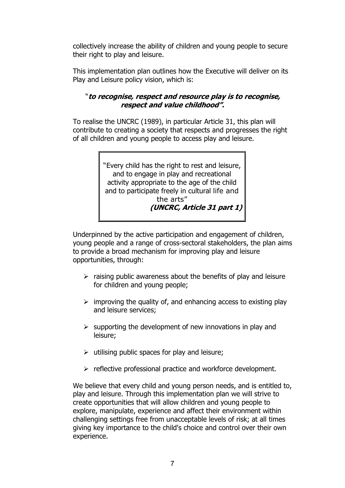<span id="page-7-0"></span> collectively increase the ability of children and young people to secure their right to play and leisure.

 This implementation plan outlines how the Executive will deliver on its Play and Leisure policy vision, which is:

## "to recognise, respect and resource play is to recognise,  **respect and value childhood".**

 To realise the UNCRC (1989), in particular Article 31, this plan will contribute to creating a society that respects and progresses the right of all children and young people to access play and leisure.

> "Every child has the right to rest and leisure, and to engage in play and recreational activity appropriate to the age of the child and to participate freely in cultural life and (UNCRC, Article 31 part 1) the arts"

 Underpinned by the active participation and engagement of children, young people and a range of cross-sectoral stakeholders, the plan aims to provide a broad mechanism for improving play and leisure opportunities, through:

- $\triangleright$  raising public awareness about the benefits of play and leisure for children and young people;
- $\triangleright$  improving the quality of, and enhancing access to existing play and leisure services;
- $\triangleright$  supporting the development of new innovations in play and leisure;
- $\triangleright$  utilising public spaces for play and leisure;
- > reflective professional practice and workforce development.

 We believe that every child and young person needs, and is entitled to, play and leisure. Through this implementation plan we will strive to create opportunities that will allow children and young people to explore, manipulate, experience and affect their environment within challenging settings free from unacceptable levels of risk; at all times giving key importance to the child's choice and control over their own experience.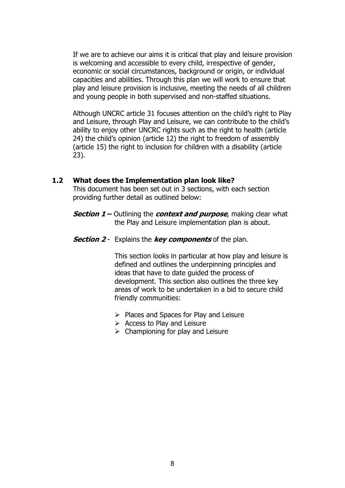<span id="page-8-0"></span> If we are to achieve our aims it is critical that play and leisure provision is welcoming and accessible to every child, irrespective of gender, economic or social circumstances, background or origin, or individual capacities and abilities. Through this plan we will work to ensure that play and leisure provision is inclusive, meeting the needs of all children and young people in both supervised and non-staffed situations.

 Although UNCRC article 31 focuses attention on the child's right to Play and Leisure, through Play and Leisure, we can contribute to the child's ability to enjoy other UNCRC rights such as the right to health (article 24) the child's opinion (article 12) the right to freedom of assembly (article 15) the right to inclusion for children with a disability (article 23).

#### **1.2 What does the Implementation plan look like?**

 This document has been set out in 3 sections, with each section providing further detail as outlined below:

- **Section 1 –** Outlining the **context and purpose**, making clear what  the Play and Leisure implementation plan is about.
- **Section 2** Explains the **key components** of the plan.

 This section looks in particular at how play and leisure is defined and outlines the underpinning principles and ideas that have to date guided the process of development. This section also outlines the three key areas of work to be undertaken in a bid to secure child friendly communities:

- � Places and Spaces for Play and Leisure
- $\triangleright$  Access to Play and Leisure
- $\triangleright$  Championing for play and Leisure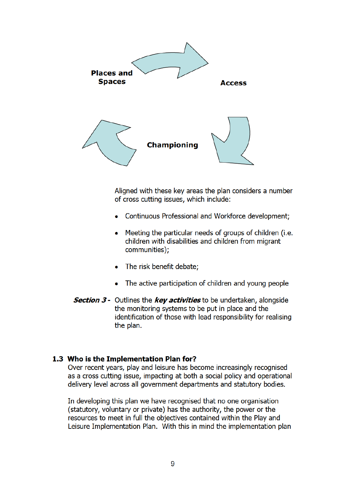

Aligned with these key areas the plan considers a number of cross cutting issues, which include:

- Continuous Professional and Workforce development;
- Meeting the particular needs of groups of children (i.e. children with disabilities and children from migrant communities);
- The risk benefit debate;
- The active participation of children and young people
- **Section 3 -** Outlines the key activities to be undertaken, alongside the monitoring systems to be put in place and the identification of those with lead responsibility for realising the plan.

#### 1.3 Who is the Implementation Plan for?

Over recent years, play and leisure has become increasingly recognised as a cross cutting issue, impacting at both a social policy and operational delivery level across all government departments and statutory bodies.

In developing this plan we have recognised that no one organisation (statutory, voluntary or private) has the authority, the power or the resources to meet in full the objectives contained within the Play and Leisure Implementation Plan. With this in mind the implementation plan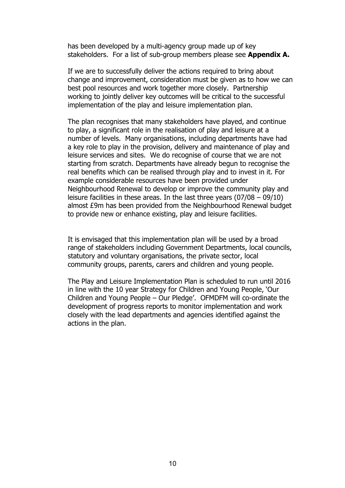<span id="page-10-0"></span>has been developed by a multi-agency group made up of key stakeholders. For a list of sub-group members please see **Appendix A.** 

 If we are to successfully deliver the actions required to bring about change and improvement, consideration must be given as to how we can best pool resources and work together more closely. Partnership working to jointly deliver key outcomes will be critical to the successful implementation of the play and leisure implementation plan.

 The plan recognises that many stakeholders have played, and continue to play, a significant role in the realisation of play and leisure at a number of levels. Many organisations, including departments have had a key role to play in the provision, delivery and maintenance of play and leisure services and sites. We do recognise of course that we are not starting from scratch. Departments have already begun to recognise the real benefits which can be realised through play and to invest in it. For example considerable resources have been provided under Neighbourhood Renewal to develop or improve the community play and leisure facilities in these areas. In the last three years (07/08 – 09/10) almost £9m has been provided from the Neighbourhood Renewal budget to provide new or enhance existing, play and leisure facilities.

 It is envisaged that this implementation plan will be used by a broad range of stakeholders including Government Departments, local councils, statutory and voluntary organisations, the private sector, local community groups, parents, carers and children and young people.

 The Play and Leisure Implementation Plan is scheduled to run until 2016 in line with the 10 year Strategy for Children and Young People, 'Our Children and Young People – Our Pledge'. OFMDFM will co-ordinate the development of progress reports to monitor implementation and work closely with the lead departments and agencies identified against the actions in the plan.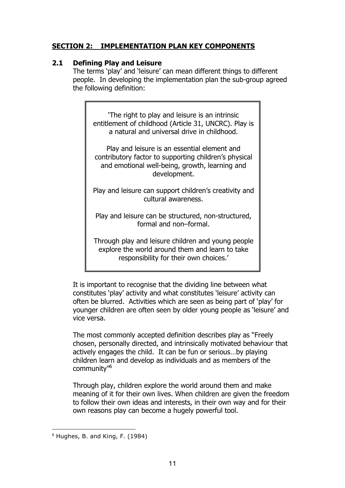# <span id="page-11-0"></span> **SECTION 2: IMPLEMENTATION PLAN KEY COMPONENTS**

## **2.1 Defining Play and Leisure**

 The terms 'play' and 'leisure' can mean different things to different people. In developing the implementation plan the sub-group agreed the following definition:

 'The right to play and leisure is an intrinsic entitlement of childhood (Article 31, UNCRC). Play is a natural and universal drive in childhood.

 Play and leisure is an essential element and contributory factor to supporting children's physical and emotional well-being, growth, learning and development.

 Play and leisure can support children's creativity and cultural awareness.

Play and leisure can be structured, non-structured, formal and non–formal.

 Through play and leisure children and young people explore the world around them and learn to take responsibility for their own choices.'

 It is important to recognise that the dividing line between what constitutes 'play' activity and what constitutes 'leisure' activity can often be blurred. Activities which are seen as being part of 'play' for younger children are often seen by older young people as 'leisure' and vice versa.

 The most commonly accepted definition describes play as "Freely chosen, personally directed, and intrinsically motivated behaviour that actively engages the child. It can be fun or serious…by playing children learn and develop as individuals and as members of the community"6

 Through play, children explore the world around them and make meaning of it for their own lives. When children are given the freedom to follow their own ideas and interests, in their own way and for their own reasons play can become a hugely powerful tool.

 $<sup>6</sup>$  Hughes, B. and King, F. (1984)</sup>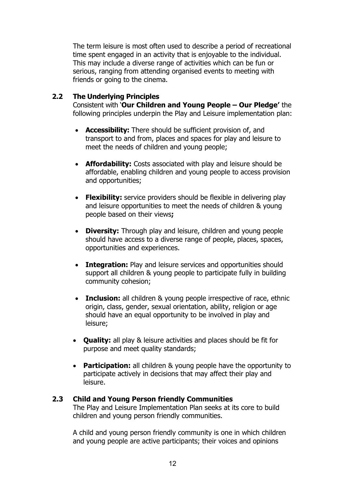The term leisure is most often used to describe a period of recreational time spent engaged in an activity that is enjoyable to the individual. This may include a diverse range of activities which can be fun or serious, ranging from attending organised events to meeting with friends or going to the cinema.

#### **2.2 The Underlying Principles**

  Consistent with '**Our Children and Young People – Our Pledge'** the following principles underpin the Play and Leisure implementation plan:

- **Accessibility:** There should be sufficient provision of, and transport to and from, places and spaces for play and leisure to meet the needs of children and young people;
- **Affordability:** Costs associated with play and leisure should be affordable, enabling children and young people to access provision and opportunities;
- Flexibility: service providers should be flexible in delivering play and leisure opportunities to meet the needs of children & young people based on their views**;**
- • **Diversity:** Through play and leisure, children and young people should have access to a diverse range of people, places, spaces, opportunities and experiences.
- **Integration:** Play and leisure services and opportunities should support all children & young people to participate fully in building community cohesion;
- **· Inclusion:** all children & young people irrespective of race, ethnic origin, class, gender, sexual orientation, ability, religion or age should have an equal opportunity to be involved in play and leisure;
- • **Quality:** all play & leisure activities and places should be fit for purpose and meet quality standards;
- **Participation:** all children & young people have the opportunity to participate actively in decisions that may affect their play and leisure.

#### **2.3 Child and Young Person friendly Communities**

 The Play and Leisure Implementation Plan seeks at its core to build children and young person friendly communities.

 A child and young person friendly community is one in which children and young people are active participants; their voices and opinions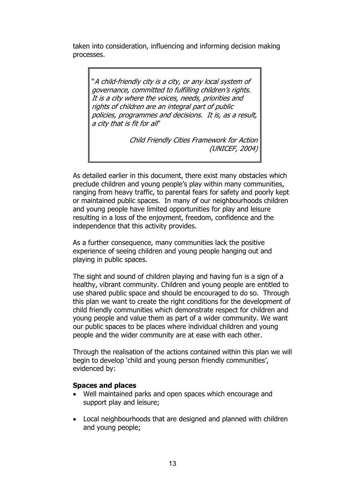<span id="page-13-0"></span> taken into consideration, influencing and informing decision making processes.

"A child-friendly city is a city, or any local system of governance, committed to fulfilling children's rights. It is <sup>a</sup> city where the voices, needs, priorities and rights of children are an integral part of public policies, programmes and decisions. It is, as <sup>a</sup> result, <sup>a</sup> city that is fit for all"

> Child Friendly Cities Framework for Action (UNICEF, 2004)

 As detailed earlier in this document, there exist many obstacles which preclude children and young people's play within many communities, ranging from heavy traffic, to parental fears for safety and poorly kept or maintained public spaces. In many of our neighbourhoods children and young people have limited opportunities for play and leisure resulting in a loss of the enjoyment, freedom, confidence and the independence that this activity provides.

 As a further consequence, many communities lack the positive experience of seeing children and young people hanging out and playing in public spaces.

 The sight and sound of children playing and having fun is a sign of a healthy, vibrant community. Children and young people are entitled to use shared public space and should be encouraged to do so. Through this plan we want to create the right conditions for the development of child friendly communities which demonstrate respect for children and young people and value them as part of a wider community. We want our public spaces to be places where individual children and young people and the wider community are at ease with each other.

 Through the realisation of the actions contained within this plan we will begin to develop 'child and young person friendly communities', evidenced by:

#### **Spaces and places**

- Well maintained parks and open spaces which encourage and support play and leisure;
- Local neighbourhoods that are designed and planned with children and young people;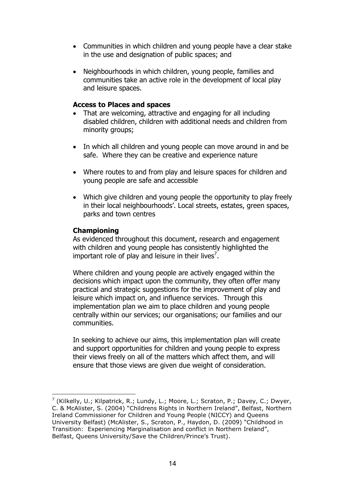- <span id="page-14-0"></span>• Communities in which children and young people have a clear stake in the use and designation of public spaces; and
- Neighbourhoods in which children, young people, families and communities take an active role in the development of local play and leisure spaces.

#### **Access to Places and spaces**

- That are welcoming, attractive and engaging for all including disabled children, children with additional needs and children from minority groups;
- In which all children and young people can move around in and be safe. Where they can be creative and experience nature
- Where routes to and from play and leisure spaces for children and young people are safe and accessible
- Which give children and young people the opportunity to play freely in their local neighbourhoods'. Local streets, estates, green spaces, parks and town centres

#### **Championing**

<u> 1980 - Johann Barn, mars an t-Amerikaansk ferske</u>

 As evidenced throughout this document, research and engagement with children and young people has consistently highlighted the important role of play and leisure in their lives<sup>7</sup>.

 Where children and young people are actively engaged within the decisions which impact upon the community, they often offer many practical and strategic suggestions for the improvement of play and leisure which impact on, and influence services. Through this implementation plan we aim to place children and young people centrally within our services; our organisations; our families and our communities.

 In seeking to achieve our aims, this implementation plan will create and support opportunities for children and young people to express their views freely on all of the matters which affect them, and will ensure that those views are given due weight of consideration.

 $^7$  (Kilkelly, U.; Kilpatrick, R.; Lundy, L.; Moore, L.; Scraton, P.; Davey, C.; Dwyer, C. & McAlister, S. (2004) "Childrens Rights in Northern Ireland", Belfast, Northern Ireland Commissioner for Children and Young People (NICCY) and Queens University Belfast) (McAlister, S., Scraton, P., Haydon, D. (2009) "Childhood in Transition: Experiencing Marginalisation and conflict in Northern Ireland", Belfast, Queens University/Save the Children/Prince's Trust).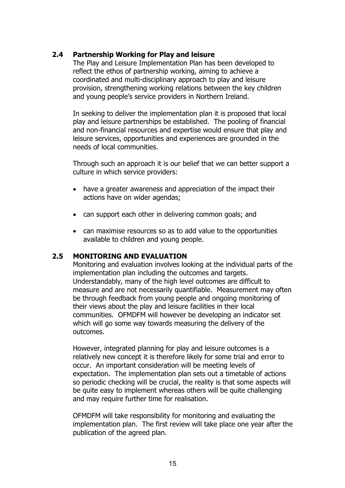## <span id="page-15-0"></span> **2.4 Partnership Working for Play and leisure**

 The Play and Leisure Implementation Plan has been developed to reflect the ethos of partnership working, aiming to achieve a coordinated and multi-disciplinary approach to play and leisure provision, strengthening working relations between the key children and young people's service providers in Northern Ireland.

 In seeking to deliver the implementation plan it is proposed that local play and leisure partnerships be established. The pooling of financial and non-financial resources and expertise would ensure that play and leisure services, opportunities and experiences are grounded in the needs of local communities.

 Through such an approach it is our belief that we can better support a culture in which service providers:

- have a greater awareness and appreciation of the impact their actions have on wider agendas;
- can support each other in delivering common goals; and
- can maximise resources so as to add value to the opportunities available to children and young people.

#### **2.5 MONITORING AND EVALUATION**

 Monitoring and evaluation involves looking at the individual parts of the implementation plan including the outcomes and targets. Understandably, many of the high level outcomes are difficult to measure and are not necessarily quantifiable. Measurement may often be through feedback from young people and ongoing monitoring of their views about the play and leisure facilities in their local communities. OFMDFM will however be developing an indicator set which will go some way towards measuring the delivery of the outcomes.

 However, integrated planning for play and leisure outcomes is a relatively new concept it is therefore likely for some trial and error to occur. An important consideration will be meeting levels of expectation. The implementation plan sets out a timetable of actions so periodic checking will be crucial, the reality is that some aspects will be quite easy to implement whereas others will be quite challenging and may require further time for realisation.

 OFMDFM will take responsibility for monitoring and evaluating the implementation plan. The first review will take place one year after the publication of the agreed plan.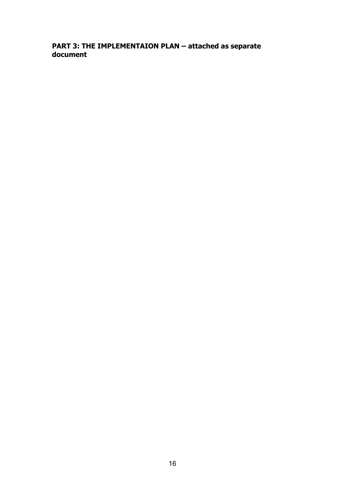# **PART 3: THE IMPLEMENTAION PLAN – attached as separate document**